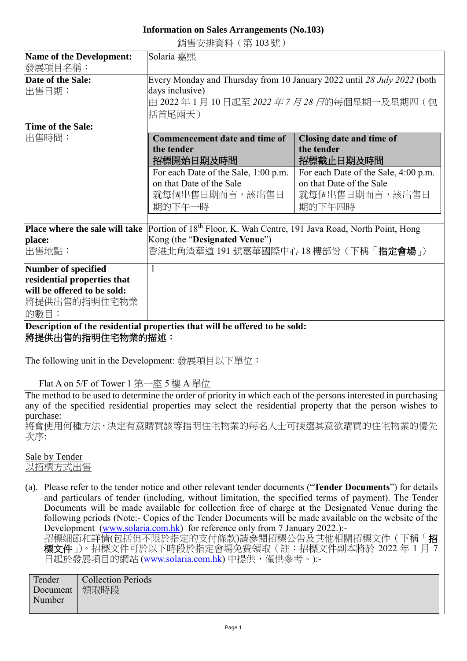## **Information on Sales Arrangements (No.103)**

銷售安排資料(第 103 號)

| <b>Name of the Development:</b><br>發展項目名稱:                                                                                                                                                                                                                                                       | Solaria 嘉熙                                                                                                                                                                                                                                                                                                                                                                                                                                                                                                                                                                                                                                                            |                                                                                              |
|--------------------------------------------------------------------------------------------------------------------------------------------------------------------------------------------------------------------------------------------------------------------------------------------------|-----------------------------------------------------------------------------------------------------------------------------------------------------------------------------------------------------------------------------------------------------------------------------------------------------------------------------------------------------------------------------------------------------------------------------------------------------------------------------------------------------------------------------------------------------------------------------------------------------------------------------------------------------------------------|----------------------------------------------------------------------------------------------|
| Date of the Sale:<br>出售日期:                                                                                                                                                                                                                                                                       | Every Monday and Thursday from 10 January 2022 until 28 July 2022 (both<br>days inclusive)<br>由 2022 年 1 月 10 日起至 <i>2022 年 7 月 28 日</i> 的每個星期一及星期四(包<br>括首尾兩天)                                                                                                                                                                                                                                                                                                                                                                                                                                                                                                       |                                                                                              |
| Time of the Sale:<br>出售時間:                                                                                                                                                                                                                                                                       | <b>Commencement date and time of</b><br>the tender<br>招標開始日期及時間                                                                                                                                                                                                                                                                                                                                                                                                                                                                                                                                                                                                       | Closing date and time of<br>the tender<br>招標截止日期及時間                                          |
|                                                                                                                                                                                                                                                                                                  | For each Date of the Sale, 1:00 p.m.<br>on that Date of the Sale<br>就每個出售日期而言,該出售日<br>期的下午一時                                                                                                                                                                                                                                                                                                                                                                                                                                                                                                                                                                          | For each Date of the Sale, 4:00 p.m.<br>on that Date of the Sale<br>就每個出售日期而言,該出售日<br>期的下午四時 |
| place:<br>出售地點:                                                                                                                                                                                                                                                                                  | <b>Place where the sale will take</b> Portion of $18th$ Floor, K. Wah Centre, 191 Java Road, North Point, Hong<br>Kong (the "Designated Venue")<br>香港北角渣華道 191 號嘉華國際中心 18 樓部份(下稱「 <b>指定會場</b> 」)                                                                                                                                                                                                                                                                                                                                                                                                                                                                      |                                                                                              |
| Number of specified<br>residential properties that<br>will be offered to be sold:<br>將提供出售的指明住宅物業<br>的數目:                                                                                                                                                                                        | $\mathbf{1}$                                                                                                                                                                                                                                                                                                                                                                                                                                                                                                                                                                                                                                                          |                                                                                              |
| 將提供出售的指明住宅物業的描述:                                                                                                                                                                                                                                                                                 | Description of the residential properties that will be offered to be sold:                                                                                                                                                                                                                                                                                                                                                                                                                                                                                                                                                                                            |                                                                                              |
| The following unit in the Development: 發展項目以下單位:<br>Flat A on 5/F of Tower 1 第一座 5 樓 A 單位                                                                                                                                                                                                        |                                                                                                                                                                                                                                                                                                                                                                                                                                                                                                                                                                                                                                                                       |                                                                                              |
| The method to be used to determine the order of priority in which each of the persons interested in purchasing<br>any of the specified residential properties may select the residential property that the person wishes to<br>purchase:<br> 將會使用何種方法,決定有意購買該等指明住宅物業的每名人士可揀選其意欲購買的住宅物業的優先<br>次序: |                                                                                                                                                                                                                                                                                                                                                                                                                                                                                                                                                                                                                                                                       |                                                                                              |
| Sale by Tender<br>以招標方式出售                                                                                                                                                                                                                                                                        |                                                                                                                                                                                                                                                                                                                                                                                                                                                                                                                                                                                                                                                                       |                                                                                              |
|                                                                                                                                                                                                                                                                                                  | (a). Please refer to the tender notice and other relevant tender documents ("Tender Documents") for details<br>and particulars of tender (including, without limitation, the specified terms of payment). The Tender<br>Documents will be made available for collection free of charge at the Designated Venue during the<br>following periods (Note:- Copies of the Tender Documents will be made available on the website of the<br>Development (www.solaria.com.hk) for reference only from 7 January 2022.):-<br>招標細節和詳情(包括但不限於指定的支付條款)請參閱招標公告及其他相關招標文件(下稱「招<br>標文件」)。招標文件可於以下時段於指定會場免費領取(註:招標文件副本將於 2022 年 1 月 7<br>日起於發展項目的網站 (www.solaria.com.hk) 中提供,僅供參考。):- |                                                                                              |

Tender Document Number Collection Periods 領取時段